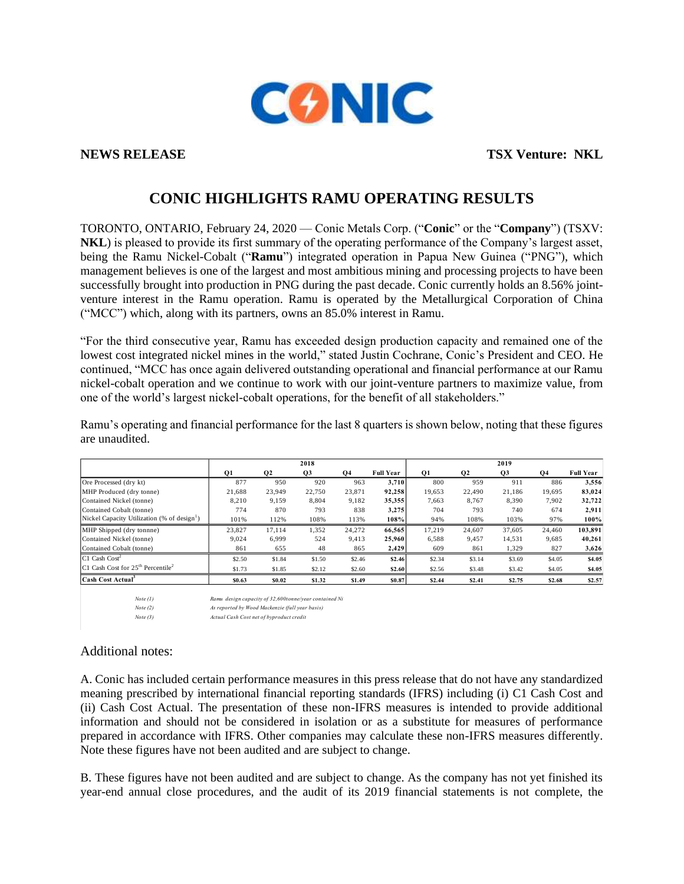

**NEWS RELEASE TSX Venture: NKL**

# **CONIC HIGHLIGHTS RAMU OPERATING RESULTS**

TORONTO, ONTARIO, February 24, 2020 — Conic Metals Corp. ("**Conic**" or the "**Company**") (TSXV: **NKL**) is pleased to provide its first summary of the operating performance of the Company's largest asset, being the Ramu Nickel-Cobalt ("**Ramu**") integrated operation in Papua New Guinea ("PNG"), which management believes is one of the largest and most ambitious mining and processing projects to have been successfully brought into production in PNG during the past decade. Conic currently holds an 8.56% jointventure interest in the Ramu operation. Ramu is operated by the Metallurgical Corporation of China ("MCC") which, along with its partners, owns an 85.0% interest in Ramu.

"For the third consecutive year, Ramu has exceeded design production capacity and remained one of the lowest cost integrated nickel mines in the world," stated Justin Cochrane, Conic's President and CEO. He continued, "MCC has once again delivered outstanding operational and financial performance at our Ramu nickel-cobalt operation and we continue to work with our joint-venture partners to maximize value, from one of the world's largest nickel-cobalt operations, for the benefit of all stakeholders."

|                                                           | 2018   |                |                |        |                  | 2019      |                |                |                |                  |
|-----------------------------------------------------------|--------|----------------|----------------|--------|------------------|-----------|----------------|----------------|----------------|------------------|
|                                                           | Q1     | Q <sub>2</sub> | Q <sub>3</sub> | Q4     | <b>Full Year</b> | <b>O1</b> | Q <sub>2</sub> | Q <sub>3</sub> | Q <sub>4</sub> | <b>Full Year</b> |
| Ore Processed (dry kt)                                    | 877    | 950            | 920            | 963    | 3.710            | 800       | 959            | 911            | 886            | 3,556            |
| MHP Produced (dry tonne)                                  | 21.688 | 23.949         | 22,750         | 23,871 | 92.258           | 19.653    | 22,490         | 21.186         | 19.695         | 83,024           |
| Contained Nickel (tonne)                                  | 8.210  | 9.159          | 8,804          | 9,182  | 35,355           | 7,663     | 8.767          | 8.390          | 7.902          | 32,722           |
| Contained Cobalt (tonne)                                  | 774    | 870            | 793            | 838    | 3,275            | 704       | 793            | 740            | 674            | 2,911            |
| Nickel Capacity Utilization (% of design <sup>1</sup> )   | 101%   | 112%           | 108%           | 113%   | 108%             | 94%       | 108%           | 103%           | 97%            | 100%             |
| MHP Shipped (dry tonnne)                                  | 23,827 | 17,114         | 1,352          | 24,272 | 66,565           | 17,219    | 24,607         | 37,605         | 24,460         | 103,891          |
| Contained Nickel (tonne)                                  | 9.024  | 6.999          | 524            | 9.413  | 25,960           | 6,588     | 9,457          | 14,531         | 9,685          | 40,261           |
| Contained Cobalt (tonne)                                  | 861    | 655            | 48             | 865    | 2,429            | 609       | 861            | 1,329          | 827            | 3,626            |
| $C1$ Cash Cost <sup>2</sup>                               | \$2.50 | \$1.84         | \$1.50         | \$2.46 | \$2.46           | \$2.34    | \$3.14         | \$3.69         | \$4.05         | \$4.05           |
| C1 Cash Cost for 25 <sup>th</sup> Percentile <sup>2</sup> | \$1.73 | \$1.85         | \$2.12         | \$2.60 | \$2.60           | \$2.56    | \$3.48         | \$3.42         | \$4.05         | \$4.05           |
| Cash Cost Actual <sup>3</sup>                             | \$0.63 | \$0.02         | \$1.32         | \$1.49 | <b>\$0.87</b>    | \$2.44    | \$2.41         | \$2.75         | \$2.68         | \$2.57           |

Ramu's operating and financial performance for the last 8 quarters is shown below, noting that these figures are unaudited.

*Note (1) Ramu design capacity of 32,600tonne/year contained Ni*

*Note (2) As reported by Wood Mackenzie (full year basis)*

*Note (3) Actual Cash Cost net of byproduct credit*

### Additional notes:

A. Conic has included certain performance measures in this press release that do not have any standardized meaning prescribed by international financial reporting standards (IFRS) including (i) C1 Cash Cost and (ii) Cash Cost Actual. The presentation of these non-IFRS measures is intended to provide additional information and should not be considered in isolation or as a substitute for measures of performance prepared in accordance with IFRS. Other companies may calculate these non-IFRS measures differently. Note these figures have not been audited and are subject to change.

B. These figures have not been audited and are subject to change. As the company has not yet finished its year-end annual close procedures, and the audit of its 2019 financial statements is not complete, the